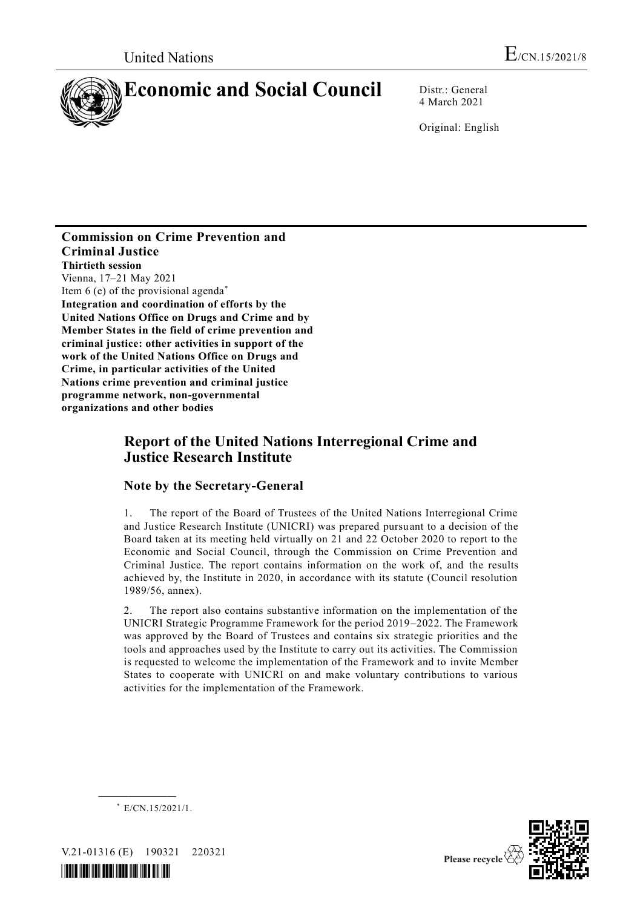

4 March 2021

Original: English

#### **Commission on Crime Prevention and Criminal Justice Thirtieth session** Vienna, 17–21 May 2021 Item 6 (e) of the provisional agenda\* **Integration and coordination of efforts by the United Nations Office on Drugs and Crime and by Member States in the field of crime prevention and criminal justice: other activities in support of the work of the United Nations Office on Drugs and Crime, in particular activities of the United Nations crime prevention and criminal justice programme network, non-governmental organizations and other bodies**

# **Report of the United Nations Interregional Crime and Justice Research Institute**

## **Note by the Secretary-General**

1. The report of the Board of Trustees of the United Nations Interregional Crime and Justice Research Institute (UNICRI) was prepared pursuant to a decision of the Board taken at its meeting held virtually on 21 and 22 October 2020 to report to the Economic and Social Council, through the Commission on Crime Prevention and Criminal Justice. The report contains information on the work of, and the results achieved by, the Institute in 2020, in accordance with its statute (Council resolution 1989/56, annex).

2. The report also contains substantive information on the implementation of the UNICRI Strategic Programme Framework for the period 2019–2022. The Framework was approved by the Board of Trustees and contains six strategic priorities and the tools and approaches used by the Institute to carry out its activities. The Commission is requested to welcome the implementation of the Framework and to invite Member States to cooperate with UNICRI on and make voluntary contributions to various activities for the implementation of the Framework.



**\_\_\_\_\_\_\_\_\_\_\_\_\_\_\_\_\_\_**





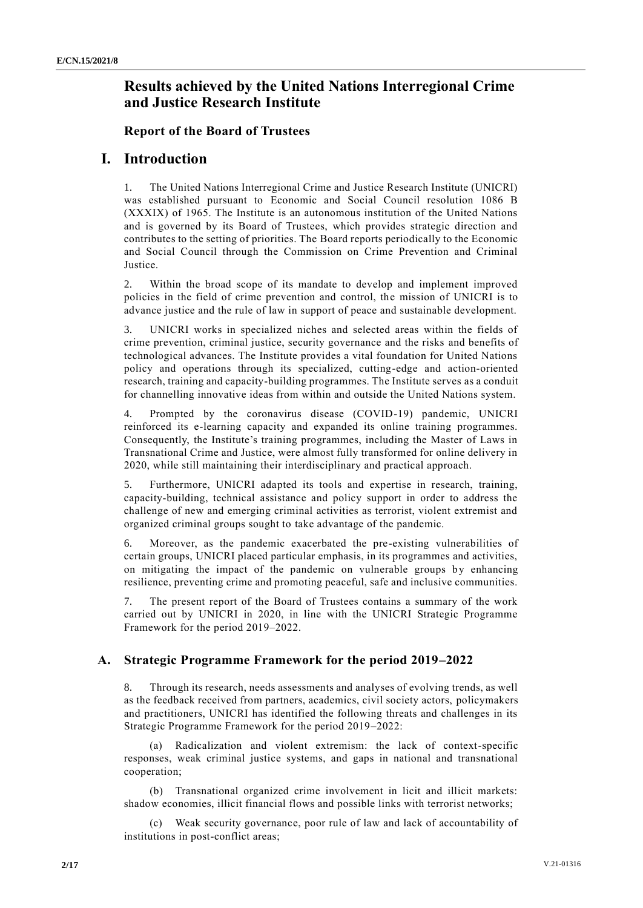# **Results achieved by the United Nations Interregional Crime and Justice Research Institute**

#### **Report of the Board of Trustees**

## **I. Introduction**

1. The United Nations Interregional Crime and Justice Research Institute (UNICRI) was established pursuant to Economic and Social Council resolution 1086 B (XXXIX) of 1965. The Institute is an autonomous institution of the United Nations and is governed by its Board of Trustees, which provides strategic direction and contributes to the setting of priorities. The Board reports periodically to the Economic and Social Council through the Commission on Crime Prevention and Criminal Justice.

2. Within the broad scope of its mandate to develop and implement improved policies in the field of crime prevention and control, the mission of UNICRI is to advance justice and the rule of law in support of peace and sustainable development.

3. UNICRI works in specialized niches and selected areas within the fields of crime prevention, criminal justice, security governance and the risks and benefits of technological advances. The Institute provides a vital foundation for United Nations policy and operations through its specialized, cutting-edge and action-oriented research, training and capacity-building programmes. The Institute serves as a conduit for channelling innovative ideas from within and outside the United Nations system.

4. Prompted by the coronavirus disease (COVID-19) pandemic, UNICRI reinforced its e-learning capacity and expanded its online training programmes. Consequently, the Institute's training programmes, including the Master of Laws in Transnational Crime and Justice, were almost fully transformed for online delivery in 2020, while still maintaining their interdisciplinary and practical approach.

5. Furthermore, UNICRI adapted its tools and expertise in research, training, capacity-building, technical assistance and policy support in order to address the challenge of new and emerging criminal activities as terrorist, violent extremist and organized criminal groups sought to take advantage of the pandemic.

6. Moreover, as the pandemic exacerbated the pre-existing vulnerabilities of certain groups, UNICRI placed particular emphasis, in its programmes and activities, on mitigating the impact of the pandemic on vulnerable groups by enhancing resilience, preventing crime and promoting peaceful, safe and inclusive communities.

7. The present report of the Board of Trustees contains a summary of the work carried out by UNICRI in 2020, in line with the UNICRI Strategic Programme Framework for the period 2019–2022.

## **A. Strategic Programme Framework for the period 2019–2022**

8. Through its research, needs assessments and analyses of evolving trends, as well as the feedback received from partners, academics, civil society actors, policymakers and practitioners, UNICRI has identified the following threats and challenges in its Strategic Programme Framework for the period 2019–2022:

(a) Radicalization and violent extremism: the lack of context-specific responses, weak criminal justice systems, and gaps in national and transnational cooperation;

(b) Transnational organized crime involvement in licit and illicit markets: shadow economies, illicit financial flows and possible links with terrorist networks;

(c) Weak security governance, poor rule of law and lack of accountability of institutions in post-conflict areas;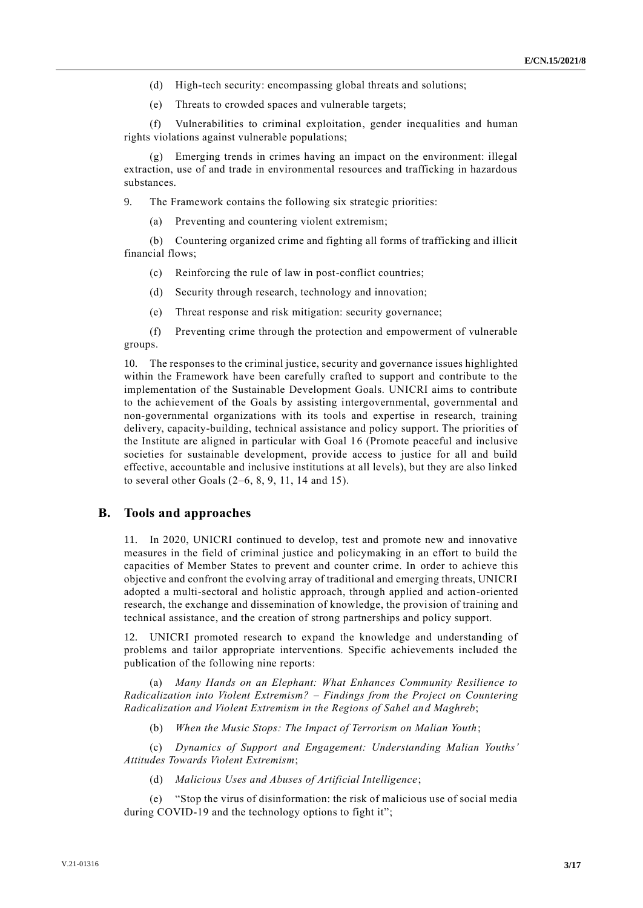- (d) High-tech security: encompassing global threats and solutions;
- (e) Threats to crowded spaces and vulnerable targets;

(f) Vulnerabilities to criminal exploitation, gender inequalities and human rights violations against vulnerable populations;

Emerging trends in crimes having an impact on the environment: illegal extraction, use of and trade in environmental resources and trafficking in hazardous substances.

9. The Framework contains the following six strategic priorities:

(a) Preventing and countering violent extremism;

(b) Countering organized crime and fighting all forms of trafficking and illicit financial flows;

(c) Reinforcing the rule of law in post-conflict countries;

- (d) Security through research, technology and innovation;
- (e) Threat response and risk mitigation: security governance;

(f) Preventing crime through the protection and empowerment of vulnerable groups.

10. The responses to the criminal justice, security and governance issues highlighted within the Framework have been carefully crafted to support and contribute to the implementation of the Sustainable Development Goals. UNICRI aims to contribute to the achievement of the Goals by assisting intergovernmental, governmental and non-governmental organizations with its tools and expertise in research, training delivery, capacity-building, technical assistance and policy support. The priorities of the Institute are aligned in particular with Goal 16 (Promote peaceful and inclusive societies for sustainable development, provide access to justice for all and build effective, accountable and inclusive institutions at all levels), but they are also linked to several other Goals (2–6, 8, 9, 11, 14 and 15).

#### **B. Tools and approaches**

11. In 2020, UNICRI continued to develop, test and promote new and innovative measures in the field of criminal justice and policymaking in an effort to build the capacities of Member States to prevent and counter crime. In order to achieve this objective and confront the evolving array of traditional and emerging threats, UNICRI adopted a multi-sectoral and holistic approach, through applied and action-oriented research, the exchange and dissemination of knowledge, the provision of training and technical assistance, and the creation of strong partnerships and policy support.

12. UNICRI promoted research to expand the knowledge and understanding of problems and tailor appropriate interventions. Specific achievements included the publication of the following nine reports:

(a) *Many Hands on an Elephant: What Enhances Community Resilience to Radicalization into Violent Extremism? – Findings from the Project on Countering Radicalization and Violent Extremism in the Regions of Sahel and Maghreb*;

(b) *When the Music Stops: The Impact of Terrorism on Malian Youth*;

(c) *Dynamics of Support and Engagement: Understanding Malian Youths' Attitudes Towards Violent Extremism*;

(d) *Malicious Uses and Abuses of Artificial Intelligence*;

(e) "Stop the virus of disinformation: the risk of malicious use of social media during COVID-19 and the technology options to fight it";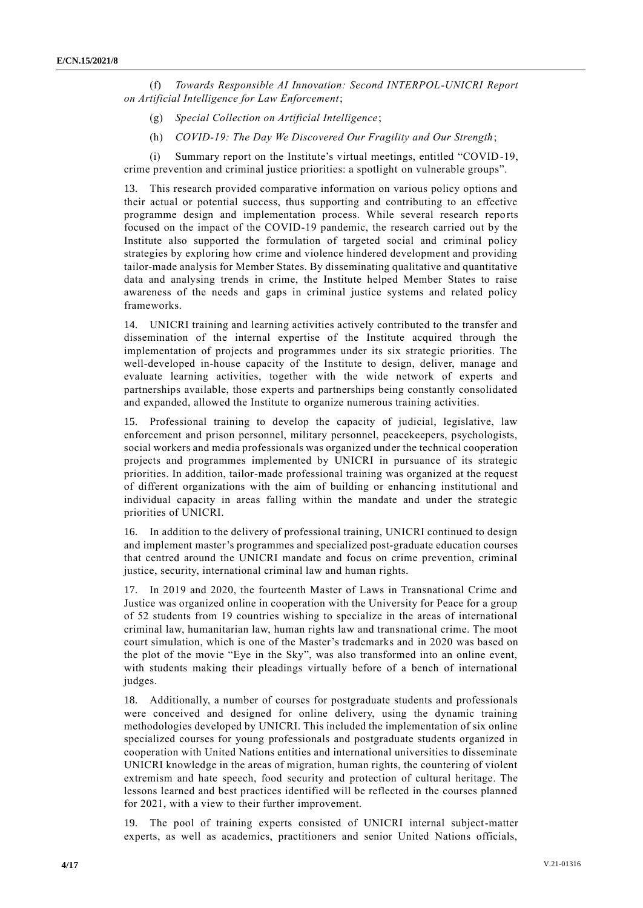(f) *Towards Responsible AI Innovation: Second INTERPOL-UNICRI Report on Artificial Intelligence for Law Enforcement*;

- (g) *Special Collection on Artificial Intelligence*;
- (h) *COVID-19: The Day We Discovered Our Fragility and Our Strength*;

(i) Summary report on the Institute's virtual meetings, entitled "COVID-19, crime prevention and criminal justice priorities: a spotlight on vulnerable groups".

13. This research provided comparative information on various policy options and their actual or potential success, thus supporting and contributing to an effective programme design and implementation process. While several research reports focused on the impact of the COVID-19 pandemic, the research carried out by the Institute also supported the formulation of targeted social and criminal policy strategies by exploring how crime and violence hindered development and providing tailor-made analysis for Member States. By disseminating qualitative and quantitative data and analysing trends in crime, the Institute helped Member States to raise awareness of the needs and gaps in criminal justice systems and related policy frameworks.

14. UNICRI training and learning activities actively contributed to the transfer and dissemination of the internal expertise of the Institute acquired through the implementation of projects and programmes under its six strategic priorities. The well-developed in-house capacity of the Institute to design, deliver, manage and evaluate learning activities, together with the wide network of experts and partnerships available, those experts and partnerships being constantly consolidated and expanded, allowed the Institute to organize numerous training activities.

15. Professional training to develop the capacity of judicial, legislative, law enforcement and prison personnel, military personnel, peacekeepers, psychologists, social workers and media professionals was organized under the technical cooperation projects and programmes implemented by UNICRI in pursuance of its strategic priorities. In addition, tailor-made professional training was organized at the request of different organizations with the aim of building or enhancing institutional and individual capacity in areas falling within the mandate and under the strategic priorities of UNICRI.

16. In addition to the delivery of professional training, UNICRI continued to design and implement master's programmes and specialized post-graduate education courses that centred around the UNICRI mandate and focus on crime prevention, criminal justice, security, international criminal law and human rights.

17. In 2019 and 2020, the fourteenth Master of Laws in Transnational Crime and Justice was organized online in cooperation with the University for Peace for a group of 52 students from 19 countries wishing to specialize in the areas of international criminal law, humanitarian law, human rights law and transnational crime. The moot court simulation, which is one of the Master's trademarks and in 2020 was based on the plot of the movie "Eye in the Sky", was also transformed into an online event, with students making their pleadings virtually before of a bench of international judges.

18. Additionally, a number of courses for postgraduate students and professionals were conceived and designed for online delivery, using the dynamic training methodologies developed by UNICRI. This included the implementation of six online specialized courses for young professionals and postgraduate students organized in cooperation with United Nations entities and international universities to disseminate UNICRI knowledge in the areas of migration, human rights, the countering of violent extremism and hate speech, food security and protection of cultural heritage. The lessons learned and best practices identified will be reflected in the courses planned for 2021, with a view to their further improvement.

19. The pool of training experts consisted of UNICRI internal subject-matter experts, as well as academics, practitioners and senior United Nations officials,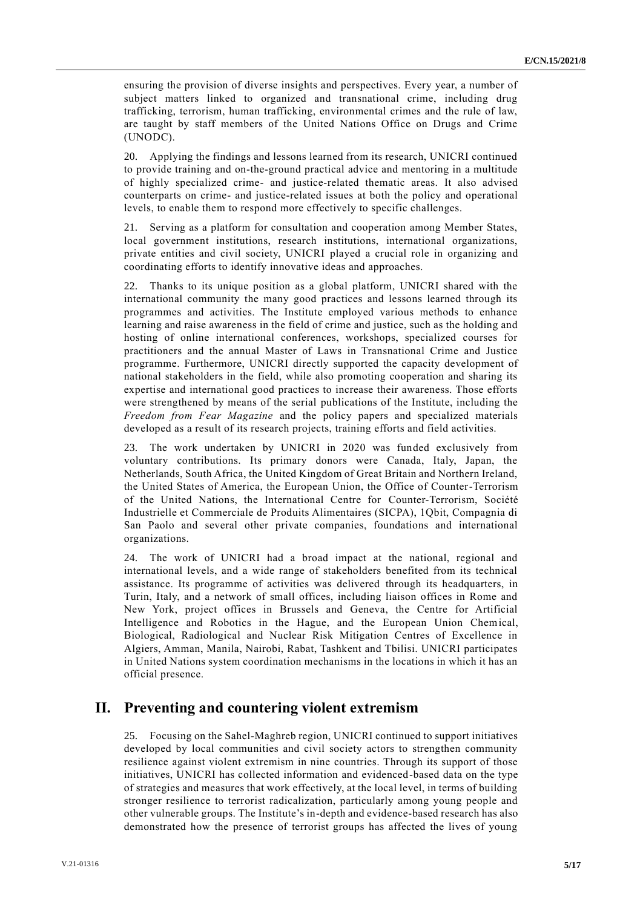ensuring the provision of diverse insights and perspectives. Every year, a number of subject matters linked to organized and transnational crime, including drug trafficking, terrorism, human trafficking, environmental crimes and the rule of law, are taught by staff members of the United Nations Office on Drugs and Crime (UNODC).

20. Applying the findings and lessons learned from its research, UNICRI continued to provide training and on-the-ground practical advice and mentoring in a multitude of highly specialized crime- and justice-related thematic areas. It also advised counterparts on crime- and justice-related issues at both the policy and operational levels, to enable them to respond more effectively to specific challenges.

21. Serving as a platform for consultation and cooperation among Member States, local government institutions, research institutions, international organizations, private entities and civil society, UNICRI played a crucial role in organizing and coordinating efforts to identify innovative ideas and approaches.

22. Thanks to its unique position as a global platform, UNICRI shared with the international community the many good practices and lessons learned through its programmes and activities. The Institute employed various methods to enhance learning and raise awareness in the field of crime and justice, such as the holding and hosting of online international conferences, workshops, specialized courses for practitioners and the annual Master of Laws in Transnational Crime and Justice programme. Furthermore, UNICRI directly supported the capacity development of national stakeholders in the field, while also promoting cooperation and sharing its expertise and international good practices to increase their awareness. Those efforts were strengthened by means of the serial publications of the Institute, including the *Freedom from Fear Magazine* and the policy papers and specialized materials developed as a result of its research projects, training efforts and field activities.

23. The work undertaken by UNICRI in 2020 was funded exclusively from voluntary contributions. Its primary donors were Canada, Italy, Japan, the Netherlands, South Africa, the United Kingdom of Great Britain and Northern Ireland, the United States of America, the European Union, the Office of Counter-Terrorism of the United Nations, the International Centre for Counter-Terrorism, Société Industrielle et Commerciale de Produits Alimentaires (SICPA), 1Qbit, Compagnia di San Paolo and several other private companies, foundations and international organizations.

24. The work of UNICRI had a broad impact at the national, regional and international levels, and a wide range of stakeholders benefited from its technical assistance. Its programme of activities was delivered through its headquarters, in Turin, Italy, and a network of small offices, including liaison offices in Rome and New York, project offices in Brussels and Geneva, the Centre for Artificial Intelligence and Robotics in the Hague, and the European Union Chemical, Biological, Radiological and Nuclear Risk Mitigation Centres of Excellence in Algiers, Amman, Manila, Nairobi, Rabat, Tashkent and Tbilisi. UNICRI participates in United Nations system coordination mechanisms in the locations in which it has an official presence.

# **II. Preventing and countering violent extremism**

25. Focusing on the Sahel-Maghreb region, UNICRI continued to support initiatives developed by local communities and civil society actors to strengthen community resilience against violent extremism in nine countries. Through its support of those initiatives, UNICRI has collected information and evidenced-based data on the type of strategies and measures that work effectively, at the local level, in terms of building stronger resilience to terrorist radicalization, particularly among young people and other vulnerable groups. The Institute's in-depth and evidence-based research has also demonstrated how the presence of terrorist groups has affected the lives of young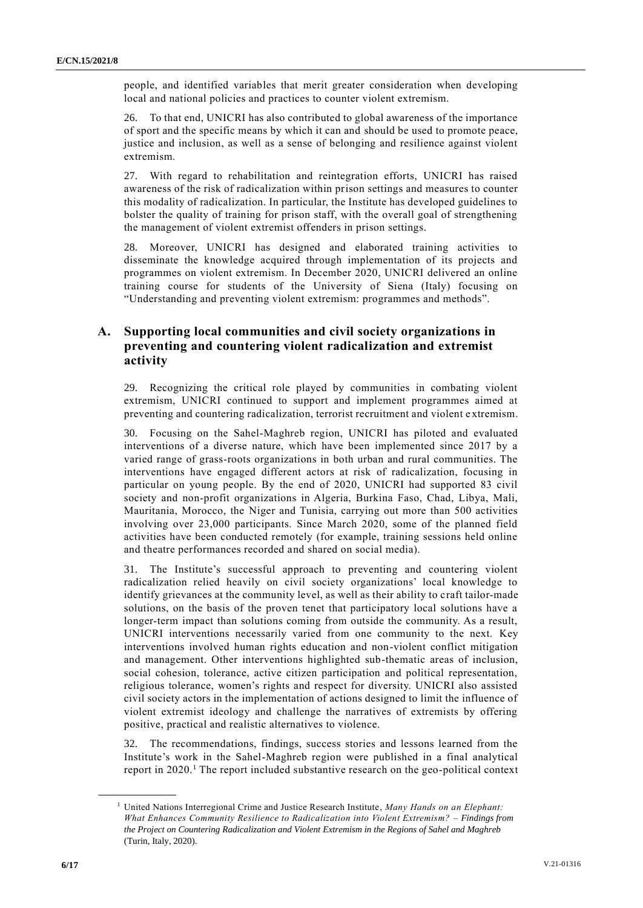people, and identified variables that merit greater consideration when developing local and national policies and practices to counter violent extremism.

26. To that end, UNICRI has also contributed to global awareness of the importance of sport and the specific means by which it can and should be used to promote peace, justice and inclusion, as well as a sense of belonging and resilience against violent extremism.

27. With regard to rehabilitation and reintegration efforts, UNICRI has raised awareness of the risk of radicalization within prison settings and measures to counter this modality of radicalization. In particular, the Institute has developed guidelines to bolster the quality of training for prison staff, with the overall goal of strengthening the management of violent extremist offenders in prison settings.

28. Moreover, UNICRI has designed and elaborated training activities to disseminate the knowledge acquired through implementation of its projects and programmes on violent extremism. In December 2020, UNICRI delivered an online training course for students of the University of Siena (Italy) focusing on "Understanding and preventing violent extremism: programmes and methods".

## **A. Supporting local communities and civil society organizations in preventing and countering violent radicalization and extremist activity**

29. Recognizing the critical role played by communities in combating violent extremism, UNICRI continued to support and implement programmes aimed at preventing and countering radicalization, terrorist recruitment and violent e xtremism.

30. Focusing on the Sahel-Maghreb region, UNICRI has piloted and evaluated interventions of a diverse nature, which have been implemented since 2017 by a varied range of grass-roots organizations in both urban and rural communities. The interventions have engaged different actors at risk of radicalization, focusing in particular on young people. By the end of 2020, UNICRI had supported 83 civil society and non-profit organizations in Algeria, Burkina Faso, Chad, Libya, Mali, Mauritania, Morocco, the Niger and Tunisia, carrying out more than 500 activities involving over 23,000 participants. Since March 2020, some of the planned field activities have been conducted remotely (for example, training sessions held online and theatre performances recorded and shared on social media).

31. The Institute's successful approach to preventing and countering violent radicalization relied heavily on civil society organizations' local knowledge to identify grievances at the community level, as well as their ability to craft tailor-made solutions, on the basis of the proven tenet that participatory local solutions have a longer-term impact than solutions coming from outside the community. As a result, UNICRI interventions necessarily varied from one community to the next. Key interventions involved human rights education and non-violent conflict mitigation and management. Other interventions highlighted sub-thematic areas of inclusion, social cohesion, tolerance, active citizen participation and political representation, religious tolerance, women's rights and respect for diversity. UNICRI also assisted civil society actors in the implementation of actions designed to limit the influence of violent extremist ideology and challenge the narratives of extremists by offering positive, practical and realistic alternatives to violence.

32. The recommendations, findings, success stories and lessons learned from the Institute's work in the Sahel-Maghreb region were published in a final analytical report in  $2020<sup>1</sup>$ . The report included substantive research on the geo-political context

**\_\_\_\_\_\_\_\_\_\_\_\_\_\_\_\_\_\_**

<sup>1</sup> United Nations Interregional Crime and Justice Research Institute, *Many Hands on an Elephant: What Enhances Community Resilience to Radicalization into Violent Extremism? – Findings from the Project on Countering Radicalization and Violent Extremism in the Regions of Sahel and Maghreb* (Turin, Italy, 2020).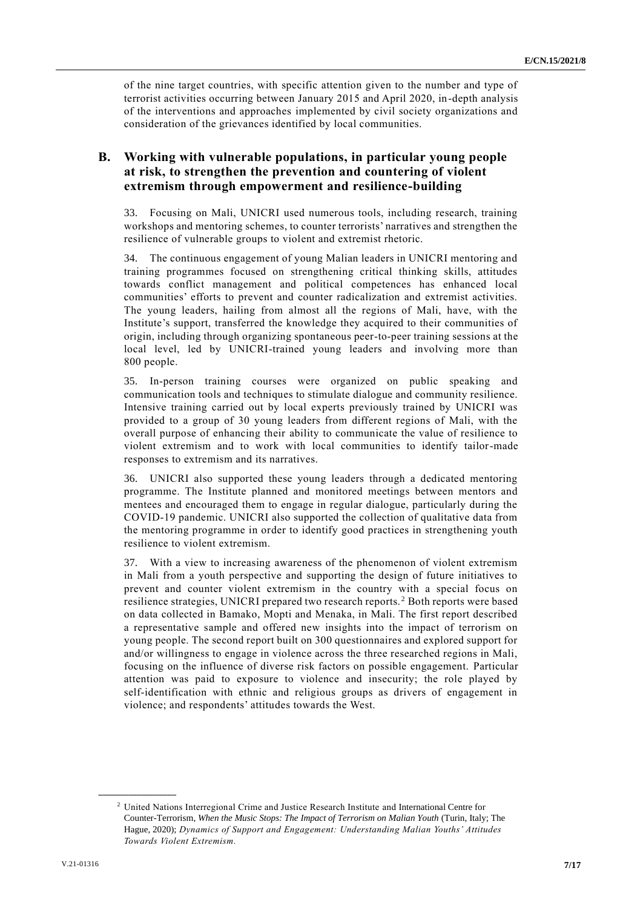of the nine target countries, with specific attention given to the number and type of terrorist activities occurring between January 2015 and April 2020, in-depth analysis of the interventions and approaches implemented by civil society organizations and consideration of the grievances identified by local communities.

## **B. Working with vulnerable populations, in particular young people at risk, to strengthen the prevention and countering of violent extremism through empowerment and resilience-building**

33. Focusing on Mali, UNICRI used numerous tools, including research, training workshops and mentoring schemes, to counter terrorists' narratives and strengthen the resilience of vulnerable groups to violent and extremist rhetoric.

34. The continuous engagement of young Malian leaders in UNICRI mentoring and training programmes focused on strengthening critical thinking skills, attitudes towards conflict management and political competences has enhanced local communities' efforts to prevent and counter radicalization and extremist activities. The young leaders, hailing from almost all the regions of Mali, have, with the Institute's support, transferred the knowledge they acquired to their communities of origin, including through organizing spontaneous peer-to-peer training sessions at the local level, led by UNICRI-trained young leaders and involving more than 800 people.

35. In-person training courses were organized on public speaking and communication tools and techniques to stimulate dialogue and community resilience. Intensive training carried out by local experts previously trained by UNICRI was provided to a group of 30 young leaders from different regions of Mali, with the overall purpose of enhancing their ability to communicate the value of resilience to violent extremism and to work with local communities to identify tailor-made responses to extremism and its narratives.

36. UNICRI also supported these young leaders through a dedicated mentoring programme. The Institute planned and monitored meetings between mentors and mentees and encouraged them to engage in regular dialogue, particularly during the COVID-19 pandemic. UNICRI also supported the collection of qualitative data from the mentoring programme in order to identify good practices in strengthening youth resilience to violent extremism.

37. With a view to increasing awareness of the phenomenon of violent extremism in Mali from a youth perspective and supporting the design of future initiatives to prevent and counter violent extremism in the country with a special focus on resilience strategies, UNICRI prepared two research reports. <sup>2</sup> Both reports were based on data collected in Bamako, Mopti and Menaka, in Mali. The first report described a representative sample and offered new insights into the impact of terrorism on young people. The second report built on 300 questionnaires and explored support for and/or willingness to engage in violence across the three researched regions in Mali, focusing on the influence of diverse risk factors on possible engagement. Particular attention was paid to exposure to violence and insecurity; the role played by self-identification with ethnic and religious groups as drivers of engagement in violence; and respondents' attitudes towards the West.

**\_\_\_\_\_\_\_\_\_\_\_\_\_\_\_\_\_\_**

<sup>2</sup> United Nations Interregional Crime and Justice Research Institute and International Centre for Counter-Terrorism, *When the Music Stops: The Impact of Terrorism on Malian Youth* (Turin, Italy; The Hague, 2020); *Dynamics of Support and Engagement: Understanding Malian Youths' Attitudes Towards Violent Extremism.*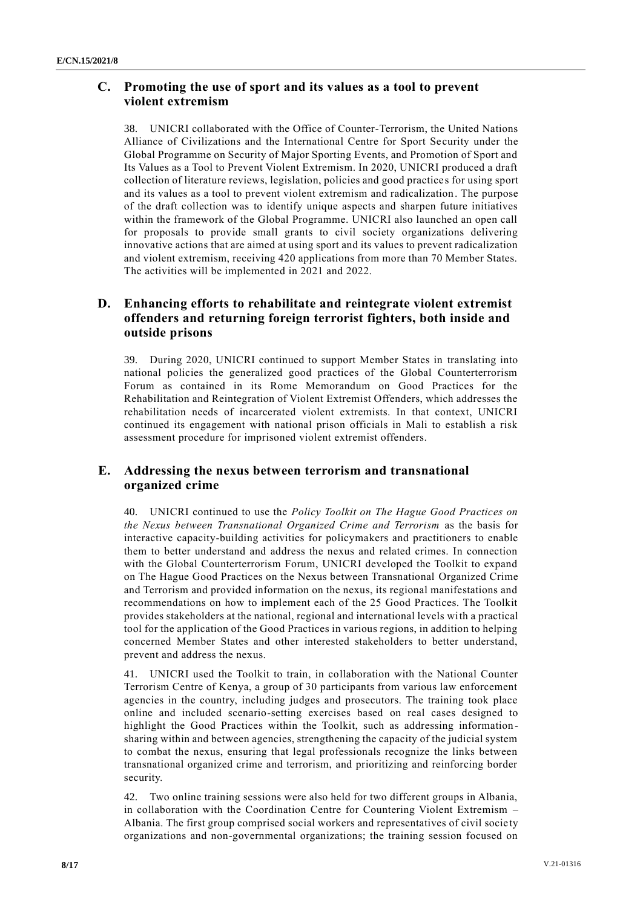## **C. Promoting the use of sport and its values as a tool to prevent violent extremism**

38. UNICRI collaborated with the Office of Counter-Terrorism, the United Nations Alliance of Civilizations and the International Centre for Sport Se curity under the Global Programme on Security of Major Sporting Events, and Promotion of Sport and Its Values as a Tool to Prevent Violent Extremism. In 2020, UNICRI produced a draft collection of literature reviews, legislation, policies and good practice s for using sport and its values as a tool to prevent violent extremism and radicalization. The purpose of the draft collection was to identify unique aspects and sharpen future initiatives within the framework of the Global Programme. UNICRI also launched an open call for proposals to provide small grants to civil society organizations delivering innovative actions that are aimed at using sport and its values to prevent radicalization and violent extremism, receiving 420 applications from more than 70 Member States. The activities will be implemented in 2021 and 2022.

## **D. Enhancing efforts to rehabilitate and reintegrate violent extremist offenders and returning foreign terrorist fighters, both inside and outside prisons**

39. During 2020, UNICRI continued to support Member States in translating into national policies the generalized good practices of the Global Counterterrorism Forum as contained in its Rome Memorandum on Good Practices for the Rehabilitation and Reintegration of Violent Extremist Offenders, which addresses the rehabilitation needs of incarcerated violent extremists. In that context, UNICRI continued its engagement with national prison officials in Mali to establish a risk assessment procedure for imprisoned violent extremist offenders.

## **E. Addressing the nexus between terrorism and transnational organized crime**

40. UNICRI continued to use the *Policy Toolkit on The Hague Good Practices on the Nexus between Transnational Organized Crime and Terrorism* as the basis for interactive capacity-building activities for policymakers and practitioners to enable them to better understand and address the nexus and related crimes. In connection with the Global Counterterrorism Forum, UNICRI developed the Toolkit to expand on The Hague Good Practices on the Nexus between Transnational Organized Crime and Terrorism and provided information on the nexus, its regional manifestations and recommendations on how to implement each of the 25 Good Practices. The Toolkit provides stakeholders at the national, regional and international levels with a practical tool for the application of the Good Practices in various regions, in addition to helping concerned Member States and other interested stakeholders to better understand, prevent and address the nexus.

41. UNICRI used the Toolkit to train, in collaboration with the National Counter Terrorism Centre of Kenya, a group of 30 participants from various law enforcement agencies in the country, including judges and prosecutors. The training took place online and included scenario-setting exercises based on real cases designed to highlight the Good Practices within the Toolkit, such as addressing information sharing within and between agencies, strengthening the capacity of the judicial system to combat the nexus, ensuring that legal professionals recognize the links between transnational organized crime and terrorism, and prioritizing and reinforcing border security.

42. Two online training sessions were also held for two different groups in Albania, in collaboration with the Coordination Centre for Countering Violent Extremism – Albania. The first group comprised social workers and representatives of civil socie ty organizations and non-governmental organizations; the training session focused on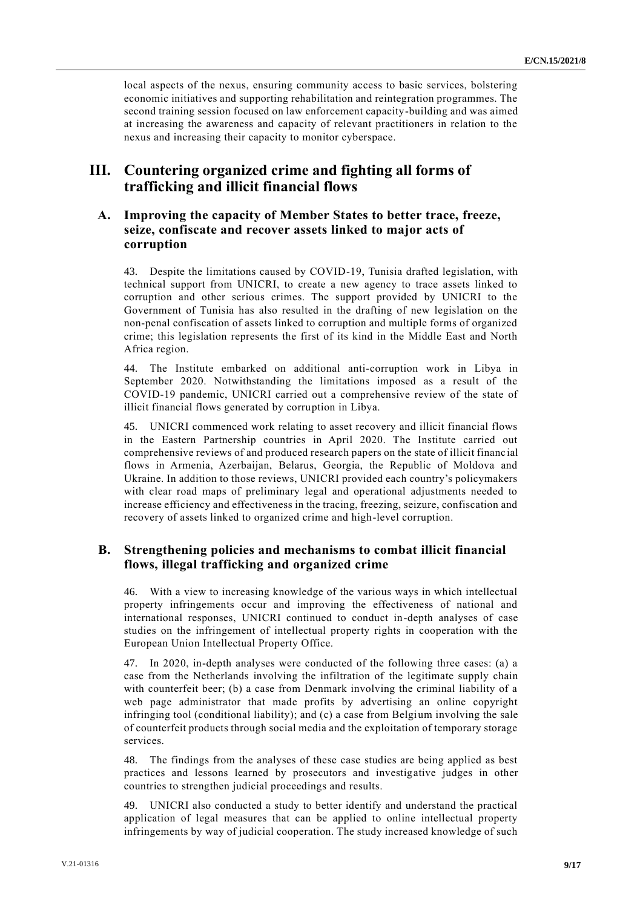local aspects of the nexus, ensuring community access to basic services, bolstering economic initiatives and supporting rehabilitation and reintegration programmes. The second training session focused on law enforcement capacity-building and was aimed at increasing the awareness and capacity of relevant practitioners in relation to the nexus and increasing their capacity to monitor cyberspace.

## **III. Countering organized crime and fighting all forms of trafficking and illicit financial flows**

#### **A. Improving the capacity of Member States to better trace, freeze, seize, confiscate and recover assets linked to major acts of corruption**

43. Despite the limitations caused by COVID-19, Tunisia drafted legislation, with technical support from UNICRI, to create a new agency to trace assets linked to corruption and other serious crimes. The support provided by UNICRI to the Government of Tunisia has also resulted in the drafting of new legislation on the non-penal confiscation of assets linked to corruption and multiple forms of organized crime; this legislation represents the first of its kind in the Middle East and North Africa region.

44. The Institute embarked on additional anti-corruption work in Libya in September 2020. Notwithstanding the limitations imposed as a result of the COVID-19 pandemic, UNICRI carried out a comprehensive review of the state of illicit financial flows generated by corruption in Libya.

45. UNICRI commenced work relating to asset recovery and illicit financial flows in the Eastern Partnership countries in April 2020. The Institute carried out comprehensive reviews of and produced research papers on the state of illicit financial flows in Armenia, Azerbaijan, Belarus, Georgia, the Republic of Moldova and Ukraine. In addition to those reviews, UNICRI provided each country's policymakers with clear road maps of preliminary legal and operational adjustments needed to increase efficiency and effectiveness in the tracing, freezing, seizure, confiscation and recovery of assets linked to organized crime and high-level corruption.

#### **B. Strengthening policies and mechanisms to combat illicit financial flows, illegal trafficking and organized crime**

46. With a view to increasing knowledge of the various ways in which intellectual property infringements occur and improving the effectiveness of national and international responses, UNICRI continued to conduct in-depth analyses of case studies on the infringement of intellectual property rights in cooperation with the European Union Intellectual Property Office.

47. In 2020, in-depth analyses were conducted of the following three cases: (a) a case from the Netherlands involving the infiltration of the legitimate supply chain with counterfeit beer; (b) a case from Denmark involving the criminal liability of a web page administrator that made profits by advertising an online copyright infringing tool (conditional liability); and (c) a case from Belgium involving the sale of counterfeit products through social media and the exploitation of temporary storage services.

48. The findings from the analyses of these case studies are being applied as best practices and lessons learned by prosecutors and investigative judges in other countries to strengthen judicial proceedings and results.

49. UNICRI also conducted a study to better identify and understand the practical application of legal measures that can be applied to online intellectual property infringements by way of judicial cooperation. The study increased knowledge of such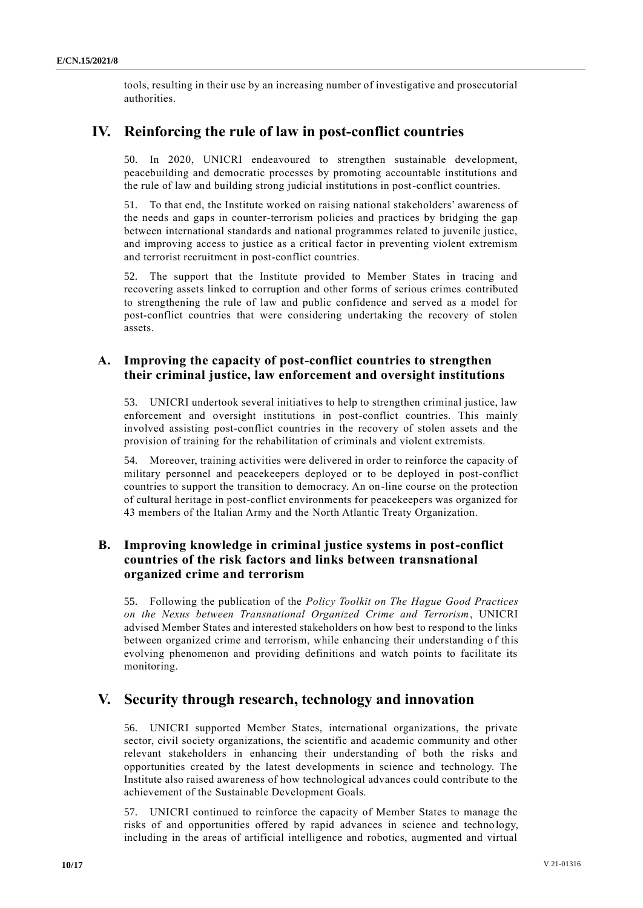tools, resulting in their use by an increasing number of investigative and prosecutorial authorities.

# **IV. Reinforcing the rule of law in post-conflict countries**

50. In 2020, UNICRI endeavoured to strengthen sustainable development, peacebuilding and democratic processes by promoting accountable institutions and the rule of law and building strong judicial institutions in post-conflict countries.

51. To that end, the Institute worked on raising national stakeholders' awareness of the needs and gaps in counter-terrorism policies and practices by bridging the gap between international standards and national programmes related to juvenile justice, and improving access to justice as a critical factor in preventing violent extremism and terrorist recruitment in post-conflict countries.

52. The support that the Institute provided to Member States in tracing and recovering assets linked to corruption and other forms of serious crimes contributed to strengthening the rule of law and public confidence and served as a model for post-conflict countries that were considering undertaking the recovery of stolen assets.

#### **A. Improving the capacity of post-conflict countries to strengthen their criminal justice, law enforcement and oversight institutions**

53. UNICRI undertook several initiatives to help to strengthen criminal justice, law enforcement and oversight institutions in post-conflict countries. This mainly involved assisting post-conflict countries in the recovery of stolen assets and the provision of training for the rehabilitation of criminals and violent extremists.

54. Moreover, training activities were delivered in order to reinforce the capacity of military personnel and peacekeepers deployed or to be deployed in post-conflict countries to support the transition to democracy. An on-line course on the protection of cultural heritage in post-conflict environments for peacekeepers was organized for 43 members of the Italian Army and the North Atlantic Treaty Organization.

## **B. Improving knowledge in criminal justice systems in post-conflict countries of the risk factors and links between transnational organized crime and terrorism**

55. Following the publication of the *Policy Toolkit on The Hague Good Practices on the Nexus between Transnational Organized Crime and Terrorism*, UNICRI advised Member States and interested stakeholders on how best to respond to the links between organized crime and terrorism, while enhancing their understanding o f this evolving phenomenon and providing definitions and watch points to facilitate its monitoring.

# **V. Security through research, technology and innovation**

56. UNICRI supported Member States, international organizations, the private sector, civil society organizations, the scientific and academic community and other relevant stakeholders in enhancing their understanding of both the risks and opportunities created by the latest developments in science and technology. The Institute also raised awareness of how technological advances could contribute to the achievement of the Sustainable Development Goals.

57. UNICRI continued to reinforce the capacity of Member States to manage the risks of and opportunities offered by rapid advances in science and techno logy, including in the areas of artificial intelligence and robotics, augmented and virtual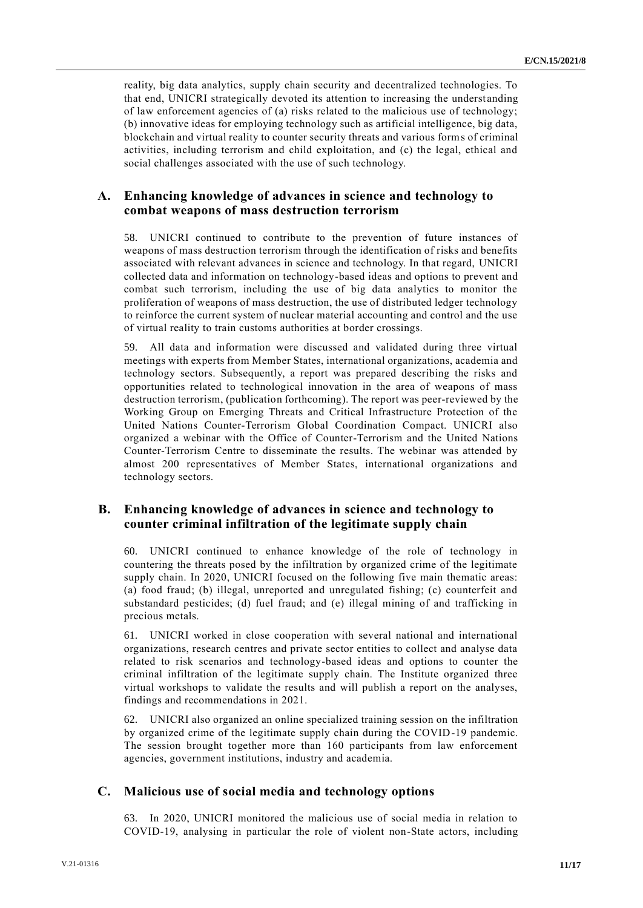reality, big data analytics, supply chain security and decentralized technologies. To that end, UNICRI strategically devoted its attention to increasing the understanding of law enforcement agencies of (a) risks related to the malicious use of technology; (b) innovative ideas for employing technology such as artificial intelligence, big data, blockchain and virtual reality to counter security threats and various forms of criminal activities, including terrorism and child exploitation, and (c) the legal, ethical and social challenges associated with the use of such technology.

#### **A. Enhancing knowledge of advances in science and technology to combat weapons of mass destruction terrorism**

58. UNICRI continued to contribute to the prevention of future instances of weapons of mass destruction terrorism through the identification of risks and benefits associated with relevant advances in science and technology. In that regard, UNICRI collected data and information on technology-based ideas and options to prevent and combat such terrorism, including the use of big data analytics to monitor the proliferation of weapons of mass destruction, the use of distributed ledger technology to reinforce the current system of nuclear material accounting and control and the use of virtual reality to train customs authorities at border crossings.

59. All data and information were discussed and validated during three virtual meetings with experts from Member States, international organizations, academia and technology sectors. Subsequently, a report was prepared describing the risks and opportunities related to technological innovation in the area of weapons of mass destruction terrorism, (publication forthcoming). The report was peer-reviewed by the Working Group on Emerging Threats and Critical Infrastructure Protection of the United Nations Counter-Terrorism Global Coordination Compact. UNICRI also organized a webinar with the Office of Counter-Terrorism and the United Nations Counter-Terrorism Centre to disseminate the results. The webinar was attended by almost 200 representatives of Member States, international organizations and technology sectors.

#### **B. Enhancing knowledge of advances in science and technology to counter criminal infiltration of the legitimate supply chain**

60. UNICRI continued to enhance knowledge of the role of technology in countering the threats posed by the infiltration by organized crime of the legitimate supply chain. In 2020, UNICRI focused on the following five main thematic areas: (a) food fraud; (b) illegal, unreported and unregulated fishing; (c) counterfeit and substandard pesticides; (d) fuel fraud; and (e) illegal mining of and trafficking in precious metals.

61. UNICRI worked in close cooperation with several national and international organizations, research centres and private sector entities to collect and analyse data related to risk scenarios and technology-based ideas and options to counter the criminal infiltration of the legitimate supply chain. The Institute organized three virtual workshops to validate the results and will publish a report on the analyses, findings and recommendations in 2021.

62. UNICRI also organized an online specialized training session on the infiltration by organized crime of the legitimate supply chain during the COVID-19 pandemic. The session brought together more than 160 participants from law enforcement agencies, government institutions, industry and academia.

## **C. Malicious use of social media and technology options**

63. In 2020, UNICRI monitored the malicious use of social media in relation to COVID-19, analysing in particular the role of violent non-State actors, including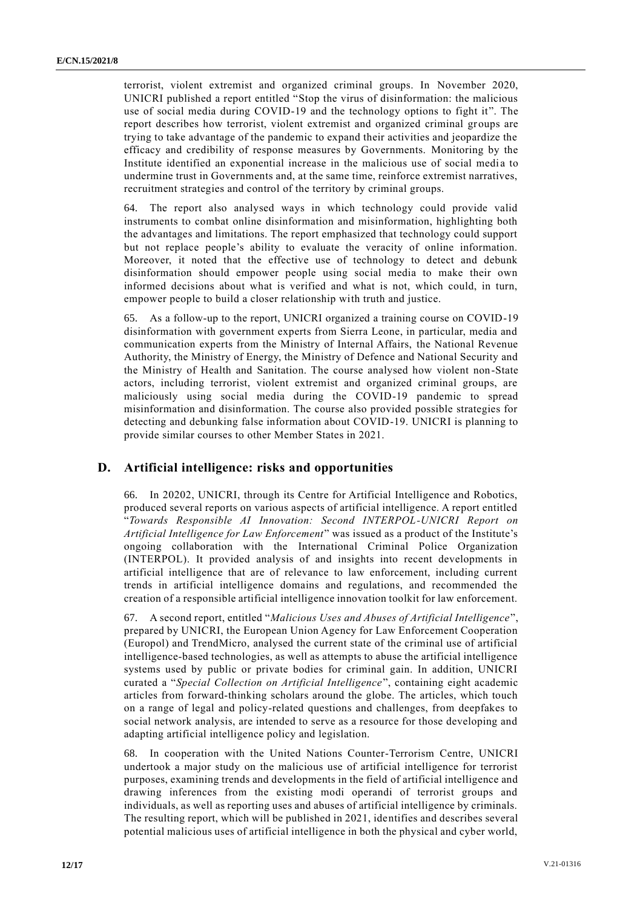terrorist, violent extremist and organized criminal groups. In November 2020, UNICRI published a report entitled "Stop the virus of disinformation: the malicious use of social media during COVID-19 and the technology options to fight it". The report describes how terrorist, violent extremist and organized criminal groups are trying to take advantage of the pandemic to expand their activities and jeopardize the efficacy and credibility of response measures by Governments. Monitoring by the Institute identified an exponential increase in the malicious use of social media to undermine trust in Governments and, at the same time, reinforce extremist narratives, recruitment strategies and control of the territory by criminal groups.

64. The report also analysed ways in which technology could provide valid instruments to combat online disinformation and misinformation, highlighting both the advantages and limitations. The report emphasized that technology could support but not replace people's ability to evaluate the veracity of online information. Moreover, it noted that the effective use of technology to detect and debunk disinformation should empower people using social media to make their own informed decisions about what is verified and what is not, which could, in turn, empower people to build a closer relationship with truth and justice.

65. As a follow-up to the report, UNICRI organized a training course on COVID-19 disinformation with government experts from Sierra Leone, in particular, media and communication experts from the Ministry of Internal Affairs, the National Revenue Authority, the Ministry of Energy, the Ministry of Defence and National Security and the Ministry of Health and Sanitation. The course analysed how violent non-State actors, including terrorist, violent extremist and organized criminal groups, are maliciously using social media during the COVID-19 pandemic to spread misinformation and disinformation. The course also provided possible strategies for detecting and debunking false information about COVID-19. UNICRI is planning to provide similar courses to other Member States in 2021.

#### **D. Artificial intelligence: risks and opportunities**

66. In 20202, UNICRI, through its Centre for Artificial Intelligence and Robotics, produced several reports on various aspects of artificial intelligence. A report entitled "*Towards Responsible AI Innovation: Second INTERPOL-UNICRI Report on Artificial Intelligence for Law Enforcement*" was issued as a product of the Institute's ongoing collaboration with the International Criminal Police Organization (INTERPOL). It provided analysis of and insights into recent developments in artificial intelligence that are of relevance to law enforcement, including current trends in artificial intelligence domains and regulations, and recommended the creation of a responsible artificial intelligence innovation toolkit for law enforcement.

67. A second report, entitled "*Malicious Uses and Abuses of Artificial Intelligence*", prepared by UNICRI, the European Union Agency for Law Enforcement Cooperation (Europol) and TrendMicro, analysed the current state of the criminal use of artificial intelligence-based technologies, as well as attempts to abuse the artificial intelligence systems used by public or private bodies for criminal gain. In addition, UNICRI curated a "*Special Collection on Artificial Intelligence*", containing eight academic articles from forward-thinking scholars around the globe. The articles, which touch on a range of legal and policy-related questions and challenges, from deepfakes to social network analysis, are intended to serve as a resource for those developing and adapting artificial intelligence policy and legislation.

68. In cooperation with the United Nations Counter-Terrorism Centre, UNICRI undertook a major study on the malicious use of artificial intelligence for terrorist purposes, examining trends and developments in the field of artificial intelligence and drawing inferences from the existing modi operandi of terrorist groups and individuals, as well as reporting uses and abuses of artificial intelligence by criminals. The resulting report, which will be published in 2021, identifies and describes several potential malicious uses of artificial intelligence in both the physical and cyber world,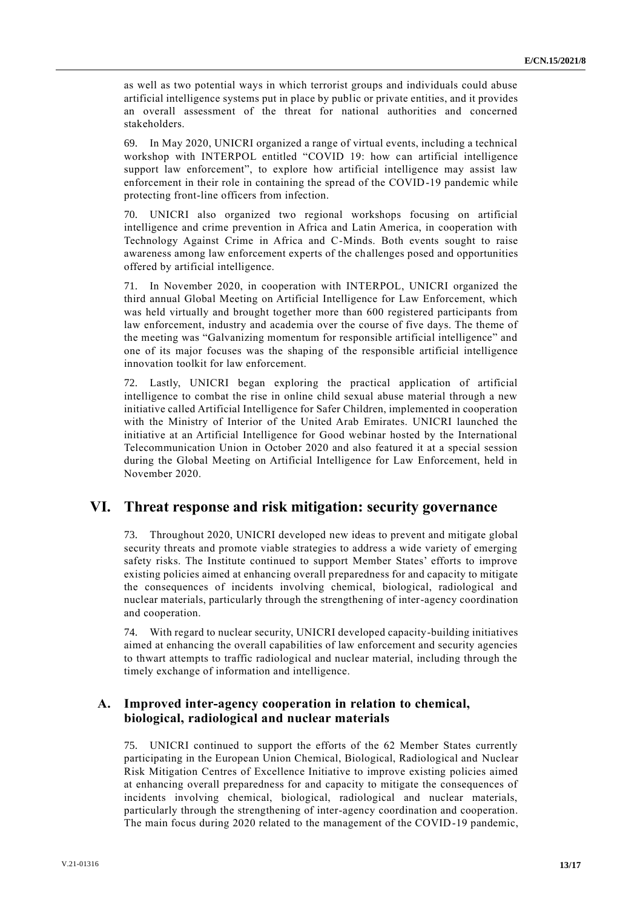as well as two potential ways in which terrorist groups and individuals could abuse artificial intelligence systems put in place by public or private entities, and it provides an overall assessment of the threat for national authorities and concerned stakeholders.

69. In May 2020, UNICRI organized a range of virtual events, including a technical workshop with INTERPOL entitled "COVID 19: how can artificial intelligence support law enforcement", to explore how artificial intelligence may assist law enforcement in their role in containing the spread of the COVID-19 pandemic while protecting front-line officers from infection.

70. UNICRI also organized two regional workshops focusing on artificial intelligence and crime prevention in Africa and Latin America, in cooperation with Technology Against Crime in Africa and C-Minds. Both events sought to raise awareness among law enforcement experts of the challenges posed and opportunities offered by artificial intelligence.

71. In November 2020, in cooperation with INTERPOL, UNICRI organized the third annual Global Meeting on Artificial Intelligence for Law Enforcement, which was held virtually and brought together more than 600 registered participants from law enforcement, industry and academia over the course of five days. The theme of the meeting was "Galvanizing momentum for responsible artificial intelligence" and one of its major focuses was the shaping of the responsible artificial intelligence innovation toolkit for law enforcement.

72. Lastly, UNICRI began exploring the practical application of artificial intelligence to combat the rise in online child sexual abuse material through a new initiative called Artificial Intelligence for Safer Children, implemented in cooperation with the Ministry of Interior of the United Arab Emirates. UNICRI launched the initiative at an Artificial Intelligence for Good webinar hosted by the International Telecommunication Union in October 2020 and also featured it at a special session during the Global Meeting on Artificial Intelligence for Law Enforcement, held in November 2020.

## **VI. Threat response and risk mitigation: security governance**

73. Throughout 2020, UNICRI developed new ideas to prevent and mitigate global security threats and promote viable strategies to address a wide variety of emerging safety risks. The Institute continued to support Member States' efforts to improve existing policies aimed at enhancing overall preparedness for and capacity to mitigate the consequences of incidents involving chemical, biological, radiological and nuclear materials, particularly through the strengthening of inter-agency coordination and cooperation.

74. With regard to nuclear security, UNICRI developed capacity-building initiatives aimed at enhancing the overall capabilities of law enforcement and security agencies to thwart attempts to traffic radiological and nuclear material, including through the timely exchange of information and intelligence.

#### **A. Improved inter-agency cooperation in relation to chemical, biological, radiological and nuclear materials**

75. UNICRI continued to support the efforts of the 62 Member States currently participating in the European Union Chemical, Biological, Radiological and Nuclear Risk Mitigation Centres of Excellence Initiative to improve existing policies aimed at enhancing overall preparedness for and capacity to mitigate the consequences of incidents involving chemical, biological, radiological and nuclear materials, particularly through the strengthening of inter-agency coordination and cooperation. The main focus during 2020 related to the management of the COVID-19 pandemic,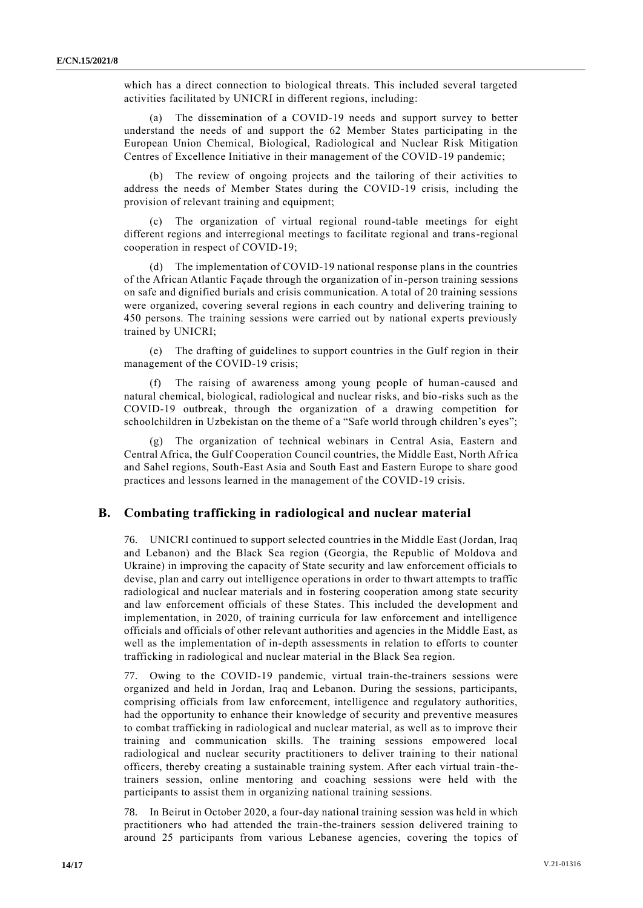which has a direct connection to biological threats. This included several targeted activities facilitated by UNICRI in different regions, including:

(a) The dissemination of a COVID-19 needs and support survey to better understand the needs of and support the 62 Member States participating in the European Union Chemical, Biological, Radiological and Nuclear Risk Mitigation Centres of Excellence Initiative in their management of the COVID-19 pandemic;

(b) The review of ongoing projects and the tailoring of their activities to address the needs of Member States during the COVID-19 crisis, including the provision of relevant training and equipment;

(c) The organization of virtual regional round-table meetings for eight different regions and interregional meetings to facilitate regional and trans-regional cooperation in respect of COVID-19;

(d) The implementation of COVID-19 national response plans in the countries of the African Atlantic Façade through the organization of in-person training sessions on safe and dignified burials and crisis communication. A total of 20 training sessions were organized, covering several regions in each country and delivering training to 450 persons. The training sessions were carried out by national experts previously trained by UNICRI;

(e) The drafting of guidelines to support countries in the Gulf region in their management of the COVID-19 crisis;

(f) The raising of awareness among young people of human-caused and natural chemical, biological, radiological and nuclear risks, and bio-risks such as the COVID-19 outbreak, through the organization of a drawing competition for schoolchildren in Uzbekistan on the theme of a "Safe world through children's eyes";

(g) The organization of technical webinars in Central Asia, Eastern and Central Africa, the Gulf Cooperation Council countries, the Middle East, North Africa and Sahel regions, South-East Asia and South East and Eastern Europe to share good practices and lessons learned in the management of the COVID-19 crisis.

#### **B. Combating trafficking in radiological and nuclear material**

76. UNICRI continued to support selected countries in the Middle East (Jordan, Iraq and Lebanon) and the Black Sea region (Georgia, the Republic of Moldova and Ukraine) in improving the capacity of State security and law enforcement officials to devise, plan and carry out intelligence operations in order to thwart attempts to traffic radiological and nuclear materials and in fostering cooperation among state security and law enforcement officials of these States. This included the development and implementation, in 2020, of training curricula for law enforcement and intelligence officials and officials of other relevant authorities and agencies in the Middle East, as well as the implementation of in-depth assessments in relation to efforts to counter trafficking in radiological and nuclear material in the Black Sea region.

77. Owing to the COVID-19 pandemic, virtual train-the-trainers sessions were organized and held in Jordan, Iraq and Lebanon. During the sessions, participants, comprising officials from law enforcement, intelligence and regulatory authorities, had the opportunity to enhance their knowledge of security and preventive measures to combat trafficking in radiological and nuclear material, as well as to improve their training and communication skills. The training sessions empowered local radiological and nuclear security practitioners to deliver training to their national officers, thereby creating a sustainable training system. After each virtual train -thetrainers session, online mentoring and coaching sessions were held with the participants to assist them in organizing national training sessions.

78. In Beirut in October 2020, a four-day national training session was held in which practitioners who had attended the train-the-trainers session delivered training to around 25 participants from various Lebanese agencies, covering the topics of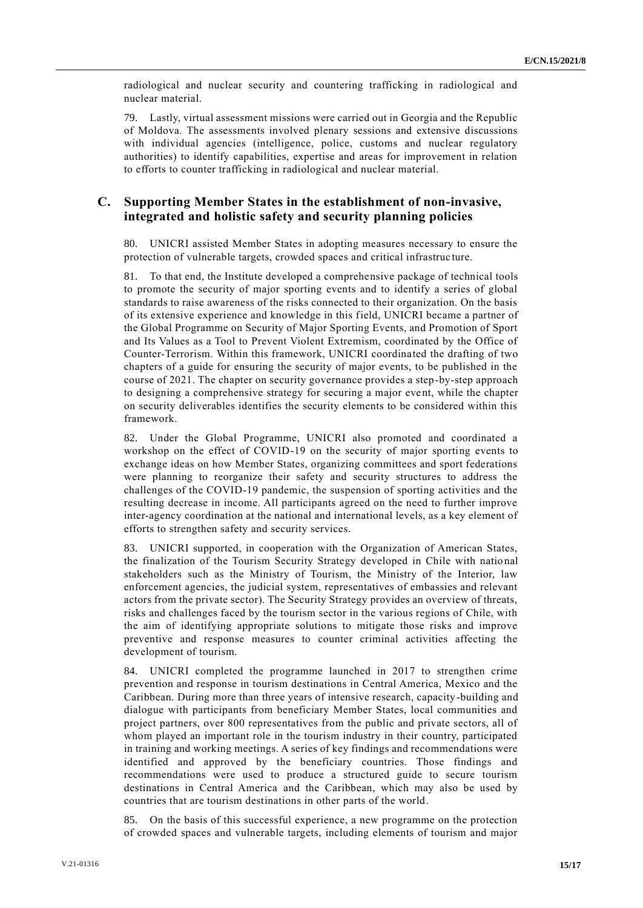radiological and nuclear security and countering trafficking in radiological and nuclear material.

79. Lastly, virtual assessment missions were carried out in Georgia and the Republic of Moldova. The assessments involved plenary sessions and extensive discussions with individual agencies (intelligence, police, customs and nuclear regulatory authorities) to identify capabilities, expertise and areas for improvement in relation to efforts to counter trafficking in radiological and nuclear material.

#### **C. Supporting Member States in the establishment of non-invasive, integrated and holistic safety and security planning policies**

80. UNICRI assisted Member States in adopting measures necessary to ensure the protection of vulnerable targets, crowded spaces and critical infrastruc ture.

81. To that end, the Institute developed a comprehensive package of technical tools to promote the security of major sporting events and to identify a series of global standards to raise awareness of the risks connected to their organization. On the basis of its extensive experience and knowledge in this field, UNICRI became a partner of the Global Programme on Security of Major Sporting Events, and Promotion of Sport and Its Values as a Tool to Prevent Violent Extremism, coordinated by the Office of Counter-Terrorism. Within this framework, UNICRI coordinated the drafting of two chapters of a guide for ensuring the security of major events, to be published in the course of 2021. The chapter on security governance provides a step-by-step approach to designing a comprehensive strategy for securing a major event, while the chapter on security deliverables identifies the security elements to be considered within this framework.

82. Under the Global Programme, UNICRI also promoted and coordinated a workshop on the effect of COVID-19 on the security of major sporting events to exchange ideas on how Member States, organizing committees and sport federations were planning to reorganize their safety and security structures to address the challenges of the COVID-19 pandemic, the suspension of sporting activities and the resulting decrease in income. All participants agreed on the need to further improve inter-agency coordination at the national and international levels, as a key element of efforts to strengthen safety and security services.

83. UNICRI supported, in cooperation with the Organization of American States, the finalization of the Tourism Security Strategy developed in Chile with national stakeholders such as the Ministry of Tourism, the Ministry of the Interior, law enforcement agencies, the judicial system, representatives of embassies and relevant actors from the private sector). The Security Strategy provides an overview of threats, risks and challenges faced by the tourism sector in the various regions of Chile, with the aim of identifying appropriate solutions to mitigate those risks and improve preventive and response measures to counter criminal activities affecting the development of tourism.

84. UNICRI completed the programme launched in 2017 to strengthen crime prevention and response in tourism destinations in Central America, Mexico and the Caribbean. During more than three years of intensive research, capacity-building and dialogue with participants from beneficiary Member States, local communities and project partners, over 800 representatives from the public and private sectors, all of whom played an important role in the tourism industry in their country, participated in training and working meetings. A series of key findings and recommendations were identified and approved by the beneficiary countries. Those findings and recommendations were used to produce a structured guide to secure tourism destinations in Central America and the Caribbean, which may also be used by countries that are tourism destinations in other parts of the world.

85. On the basis of this successful experience, a new programme on the protection of crowded spaces and vulnerable targets, including elements of tourism and major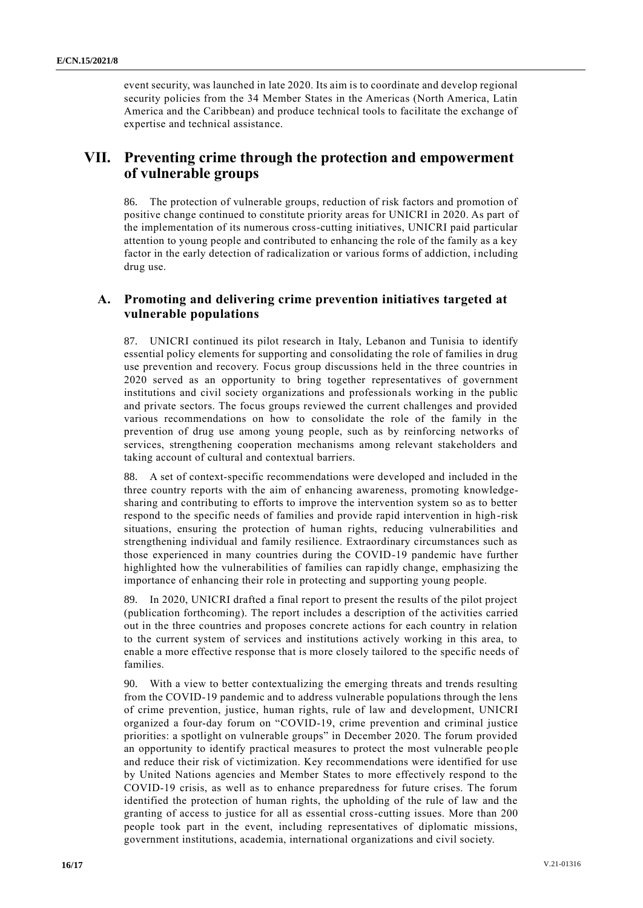event security, was launched in late 2020. Its aim is to coordinate and develop regional security policies from the 34 Member States in the Americas (North America, Latin America and the Caribbean) and produce technical tools to facilitate the exchange of expertise and technical assistance.

# **VII. Preventing crime through the protection and empowerment of vulnerable groups**

86. The protection of vulnerable groups, reduction of risk factors and promotion of positive change continued to constitute priority areas for UNICRI in 2020. As part of the implementation of its numerous cross-cutting initiatives, UNICRI paid particular attention to young people and contributed to enhancing the role of the family as a key factor in the early detection of radicalization or various forms of addiction, including drug use.

#### **A. Promoting and delivering crime prevention initiatives targeted at vulnerable populations**

87. UNICRI continued its pilot research in Italy, Lebanon and Tunisia to identify essential policy elements for supporting and consolidating the role of families in drug use prevention and recovery. Focus group discussions held in the three countries in 2020 served as an opportunity to bring together representatives of government institutions and civil society organizations and professionals working in the public and private sectors. The focus groups reviewed the current challenges and provided various recommendations on how to consolidate the role of the family in the prevention of drug use among young people, such as by reinforcing networks of services, strengthening cooperation mechanisms among relevant stakeholders and taking account of cultural and contextual barriers.

88. A set of context-specific recommendations were developed and included in the three country reports with the aim of enhancing awareness, promoting knowledgesharing and contributing to efforts to improve the intervention system so as to better respond to the specific needs of families and provide rapid intervention in high -risk situations, ensuring the protection of human rights, reducing vulnerabilities and strengthening individual and family resilience. Extraordinary circumstances such as those experienced in many countries during the COVID-19 pandemic have further highlighted how the vulnerabilities of families can rapidly change, emphasizing the importance of enhancing their role in protecting and supporting young people.

89. In 2020, UNICRI drafted a final report to present the results of the pilot project (publication forthcoming). The report includes a description of the activities carried out in the three countries and proposes concrete actions for each country in relation to the current system of services and institutions actively working in this area, to enable a more effective response that is more closely tailored to the specific needs of families.

90. With a view to better contextualizing the emerging threats and trends resulting from the COVID-19 pandemic and to address vulnerable populations through the lens of crime prevention, justice, human rights, rule of law and development, UNICRI organized a four-day forum on "COVID-19, crime prevention and criminal justice priorities: a spotlight on vulnerable groups" in December 2020. The forum provided an opportunity to identify practical measures to protect the most vulnerable peo ple and reduce their risk of victimization. Key recommendations were identified for use by United Nations agencies and Member States to more effectively respond to the COVID-19 crisis, as well as to enhance preparedness for future crises. The forum identified the protection of human rights, the upholding of the rule of law and the granting of access to justice for all as essential cross-cutting issues. More than 200 people took part in the event, including representatives of diplomatic missions, government institutions, academia, international organizations and civil society.